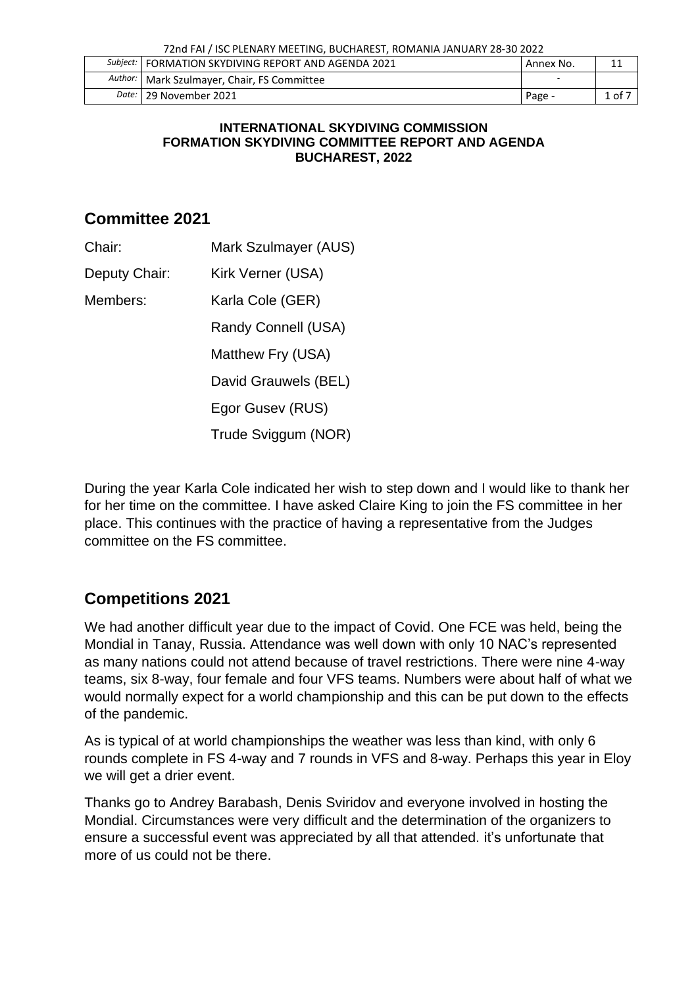| Subject:   FORMATION SKYDIVING REPORT AND AGENDA 2021 | Annex No. |                         |
|-------------------------------------------------------|-----------|-------------------------|
| Author:   Mark Szulmayer, Chair, FS Committee         |           |                         |
| Date: 29 November 2021                                | Page -    | $\pm$ of $\overline{2}$ |

#### **INTERNATIONAL SKYDIVING COMMISSION FORMATION SKYDIVING COMMITTEE REPORT AND AGENDA BUCHAREST, 2022**

### **Committee 2021**

- Chair: Mark Szulmayer (AUS)
- Deputy Chair: Kirk Verner (USA)
- Members: Karla Cole (GER)

Randy Connell (USA)

Matthew Fry (USA)

David Grauwels (BEL)

Egor Gusev (RUS)

Trude Sviggum (NOR)

During the year Karla Cole indicated her wish to step down and I would like to thank her for her time on the committee. I have asked Claire King to join the FS committee in her place. This continues with the practice of having a representative from the Judges committee on the FS committee.

# **Competitions 2021**

We had another difficult year due to the impact of Covid. One FCE was held, being the Mondial in Tanay, Russia. Attendance was well down with only 10 NAC's represented as many nations could not attend because of travel restrictions. There were nine 4-way teams, six 8-way, four female and four VFS teams. Numbers were about half of what we would normally expect for a world championship and this can be put down to the effects of the pandemic.

As is typical of at world championships the weather was less than kind, with only 6 rounds complete in FS 4-way and 7 rounds in VFS and 8-way. Perhaps this year in Eloy we will get a drier event.

Thanks go to Andrey Barabash, Denis Sviridov and everyone involved in hosting the Mondial. Circumstances were very difficult and the determination of the organizers to ensure a successful event was appreciated by all that attended. it's unfortunate that more of us could not be there.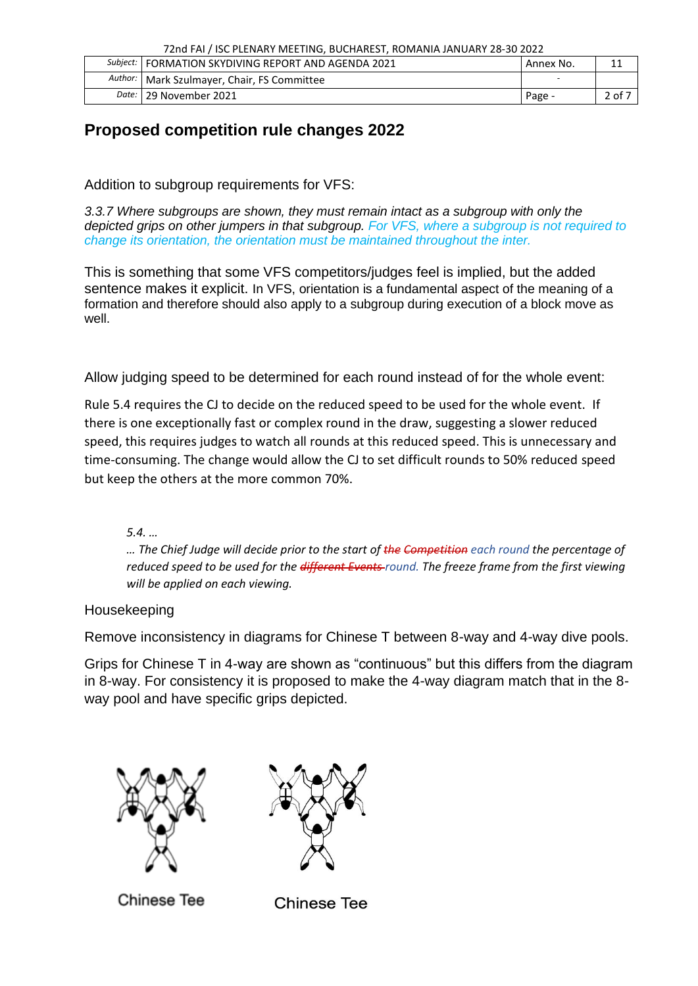| 72nd FAI / ISC PLENARY MEETING, BUCHAREST, ROMANIA JANUARY 28-30 2022 |  |  |
|-----------------------------------------------------------------------|--|--|
|                                                                       |  |  |

| Subject:   FORMATION SKYDIVING REPORT AND AGENDA 2021 | Annex No. |        |
|-------------------------------------------------------|-----------|--------|
| Author:   Mark Szulmayer, Chair, FS Committee         |           |        |
| Date:   29 November 2021                              | Page -    | 2 of 7 |

## **Proposed competition rule changes 2022**

Addition to subgroup requirements for VFS:

*3.3.7 Where subgroups are shown, they must remain intact as a subgroup with only the depicted grips on other jumpers in that subgroup. For VFS, where a subgroup is not required to change its orientation, the orientation must be maintained throughout the inter.*

This is something that some VFS competitors/judges feel is implied, but the added sentence makes it explicit. In VFS, orientation is a fundamental aspect of the meaning of a formation and therefore should also apply to a subgroup during execution of a block move as well.

Allow judging speed to be determined for each round instead of for the whole event:

Rule 5.4 requires the CJ to decide on the reduced speed to be used for the whole event. If there is one exceptionally fast or complex round in the draw, suggesting a slower reduced speed, this requires judges to watch all rounds at this reduced speed. This is unnecessary and time-consuming. The change would allow the CJ to set difficult rounds to 50% reduced speed but keep the others at the more common 70%.

*5.4. …*

*… The Chief Judge will decide prior to the start of the Competition each round the percentage of reduced speed to be used for the different Events round. The freeze frame from the first viewing will be applied on each viewing.*

Housekeeping

Remove inconsistency in diagrams for Chinese T between 8-way and 4-way dive pools.

Grips for Chinese T in 4-way are shown as "continuous" but this differs from the diagram in 8-way. For consistency it is proposed to make the 4-way diagram match that in the 8 way pool and have specific grips depicted.





**Chinese Tee** 

**Chinese Tee**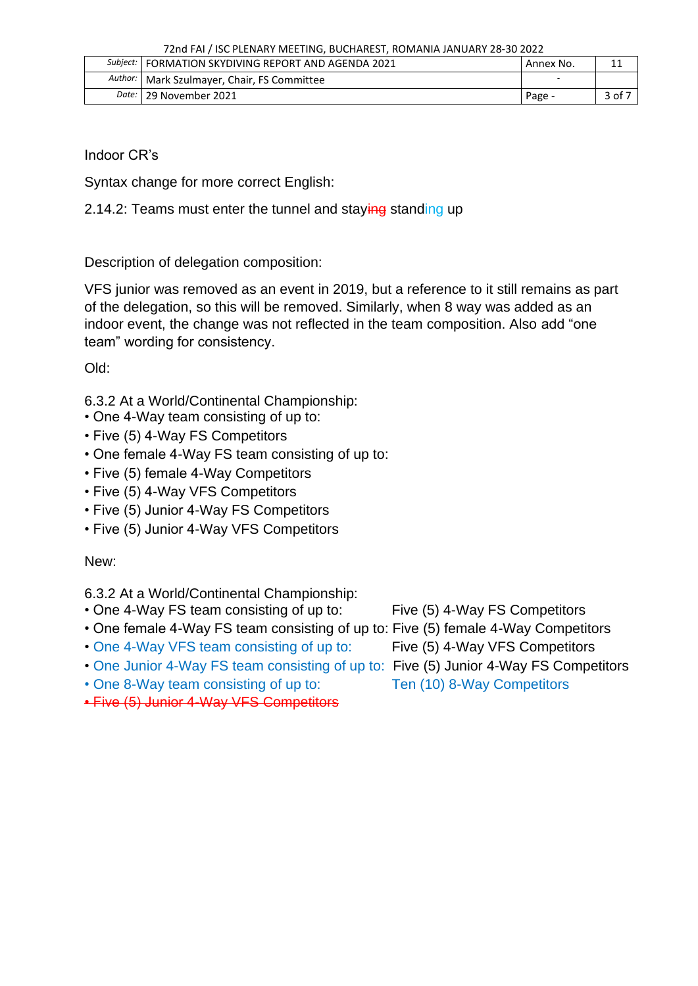| Subject:   FORMATION SKYDIVING REPORT AND AGENDA 2021 | Annex No. |        |
|-------------------------------------------------------|-----------|--------|
| Author:   Mark Szulmayer, Chair, FS Committee         |           |        |
| Date:   29 November 2021                              | Page -    | 3 of 7 |

Indoor CR's

Syntax change for more correct English:

2.14.2: Teams must enter the tunnel and staying standing up

Description of delegation composition:

VFS junior was removed as an event in 2019, but a reference to it still remains as part of the delegation, so this will be removed. Similarly, when 8 way was added as an indoor event, the change was not reflected in the team composition. Also add "one team" wording for consistency.

Old:

- 6.3.2 At a World/Continental Championship:
- One 4-Way team consisting of up to:
- Five (5) 4-Way FS Competitors
- One female 4-Way FS team consisting of up to:
- Five (5) female 4-Way Competitors
- Five (5) 4-Way VFS Competitors
- Five (5) Junior 4-Way FS Competitors
- Five (5) Junior 4-Way VFS Competitors

New:

- 6.3.2 At a World/Continental Championship:
- One 4-Way FS team consisting of up to: Five (5) 4-Way FS Competitors
- One female 4-Way FS team consisting of up to: Five (5) female 4-Way Competitors
- One 4-Way VFS team consisting of up to: Five (5) 4-Way VFS Competitors
- One Junior 4-Way FS team consisting of up to: Five (5) Junior 4-Way FS Competitors
- One 8-Way team consisting of up to: Ten (10) 8-Way Competitors
- 
- -
- 
- 
- Five (5) Junior 4-Way VFS Competitors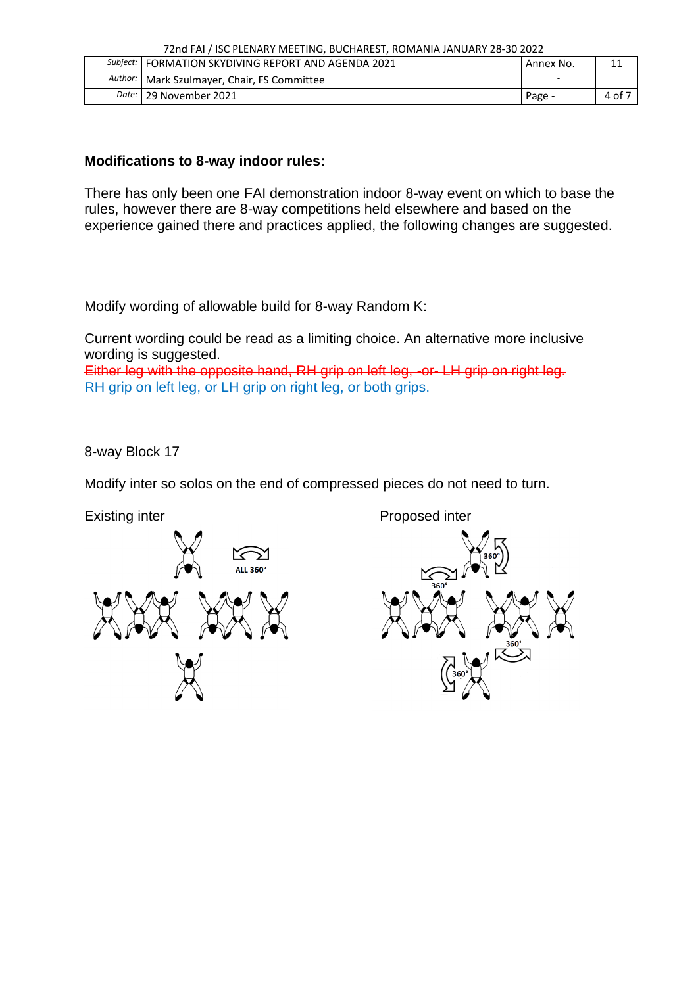|  | Subject:   FORMATION SKYDIVING REPORT AND AGENDA 2021 | Annex No. |      |  |  |
|--|-------------------------------------------------------|-----------|------|--|--|
|  | Author:   Mark Szulmayer, Chair, FS Committee         |           |      |  |  |
|  | Date:   29 November 2021                              | Page -    | 4 of |  |  |

#### **Modifications to 8-way indoor rules:**

There has only been one FAI demonstration indoor 8-way event on which to base the rules, however there are 8-way competitions held elsewhere and based on the experience gained there and practices applied, the following changes are suggested.

Modify wording of allowable build for 8-way Random K:

Current wording could be read as a limiting choice. An alternative more inclusive wording is suggested.

Either leg with the opposite hand, RH grip on left leg, -or- LH grip on right leg. RH grip on left leg, or LH grip on right leg, or both grips.

8-way Block 17

Modify inter so solos on the end of compressed pieces do not need to turn.

Existing inter **Proposed inter** Proposed inter  $\sum_{\text{ALL 360}^\circ}$  $\mathbb{X}$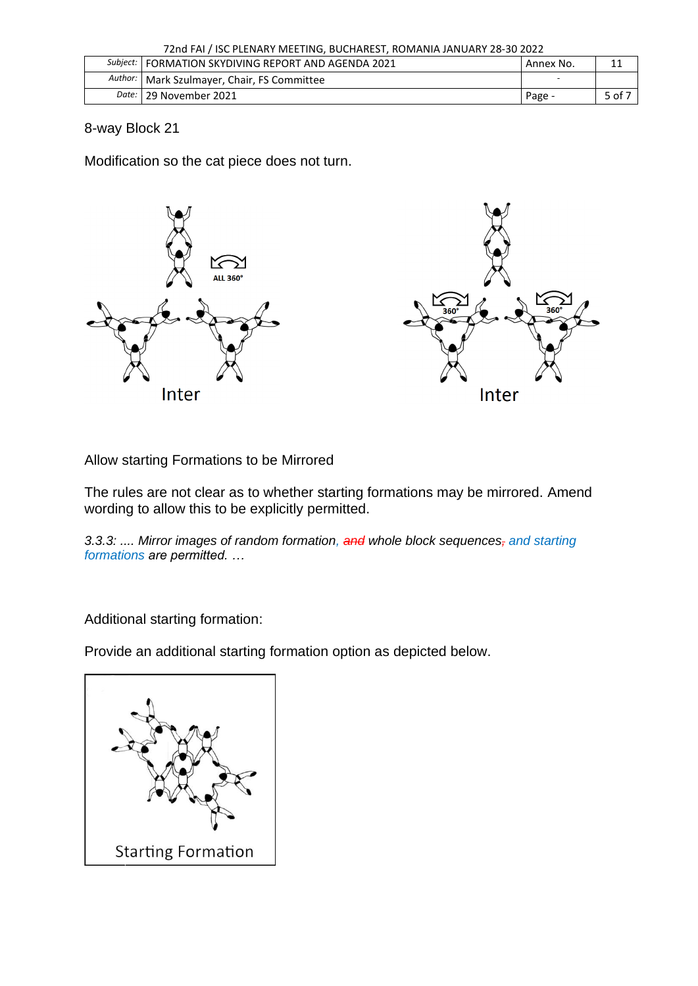| 72nd FAI / ISC PLENARY MEETING, BUCHAREST, ROMANIA JANUARY 28-30 2022 |  |  |
|-----------------------------------------------------------------------|--|--|
|                                                                       |  |  |

| Subject:   FORMATION SKYDIVING REPORT AND AGENDA 2021 | Annex No. |        |
|-------------------------------------------------------|-----------|--------|
| Author:   Mark Szulmayer, Chair, FS Committee         |           |        |
| Date:   29 November 2021                              | Page -    | 5 of 7 |

8-way Block 21

Modification so the cat piece does not turn.



Allow starting Formations to be Mirrored

The rules are not clear as to whether starting formations may be mirrored. Amend wording to allow this to be explicitly permitted.

*3.3.3: .... Mirror images of random formation, and whole block sequences, and starting formations are permitted. …*

Additional starting formation:

Provide an additional starting formation option as depicted below.

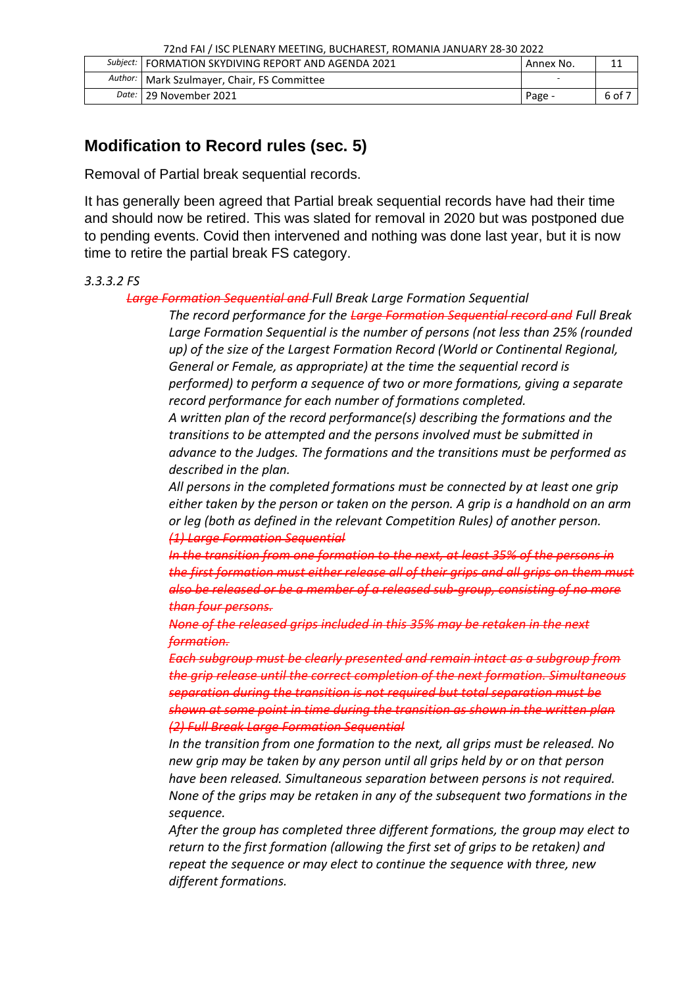|  | Subject:   FORMATION SKYDIVING REPORT AND AGENDA 2021 | Annex No. |        |  |
|--|-------------------------------------------------------|-----------|--------|--|
|  | Author:   Mark Szulmayer, Chair, FS Committee         |           |        |  |
|  | Date:   29 November 2021                              | Page -    | 6 of 7 |  |

## **Modification to Record rules (sec. 5)**

Removal of Partial break sequential records.

It has generally been agreed that Partial break sequential records have had their time and should now be retired. This was slated for removal in 2020 but was postponed due to pending events. Covid then intervened and nothing was done last year, but it is now time to retire the partial break FS category.

#### *3.3.3.2 FS*

#### *Large Formation Sequential and Full Break Large Formation Sequential*

*The record performance for the Large Formation Sequential record and Full Break Large Formation Sequential is the number of persons (not less than 25% (rounded up) of the size of the Largest Formation Record (World or Continental Regional, General or Female, as appropriate) at the time the sequential record is performed) to perform a sequence of two or more formations, giving a separate record performance for each number of formations completed.* 

*A written plan of the record performance(s) describing the formations and the transitions to be attempted and the persons involved must be submitted in advance to the Judges. The formations and the transitions must be performed as described in the plan.* 

*All persons in the completed formations must be connected by at least one grip either taken by the person or taken on the person. A grip is a handhold on an arm or leg (both as defined in the relevant Competition Rules) of another person. (1) Large Formation Sequential* 

*In the transition from one formation to the next, at least 35% of the persons in the first formation must either release all of their grips and all grips on them must also be released or be a member of a released sub-group, consisting of no more than four persons.* 

*None of the released grips included in this 35% may be retaken in the next formation.* 

*Each subgroup must be clearly presented and remain intact as a subgroup from the grip release until the correct completion of the next formation. Simultaneous separation during the transition is not required but total separation must be shown at some point in time during the transition as shown in the written plan (2) Full Break Large Formation Sequential* 

*In the transition from one formation to the next, all grips must be released. No new grip may be taken by any person until all grips held by or on that person have been released. Simultaneous separation between persons is not required. None of the grips may be retaken in any of the subsequent two formations in the sequence.* 

*After the group has completed three different formations, the group may elect to return to the first formation (allowing the first set of grips to be retaken) and repeat the sequence or may elect to continue the sequence with three, new different formations.*